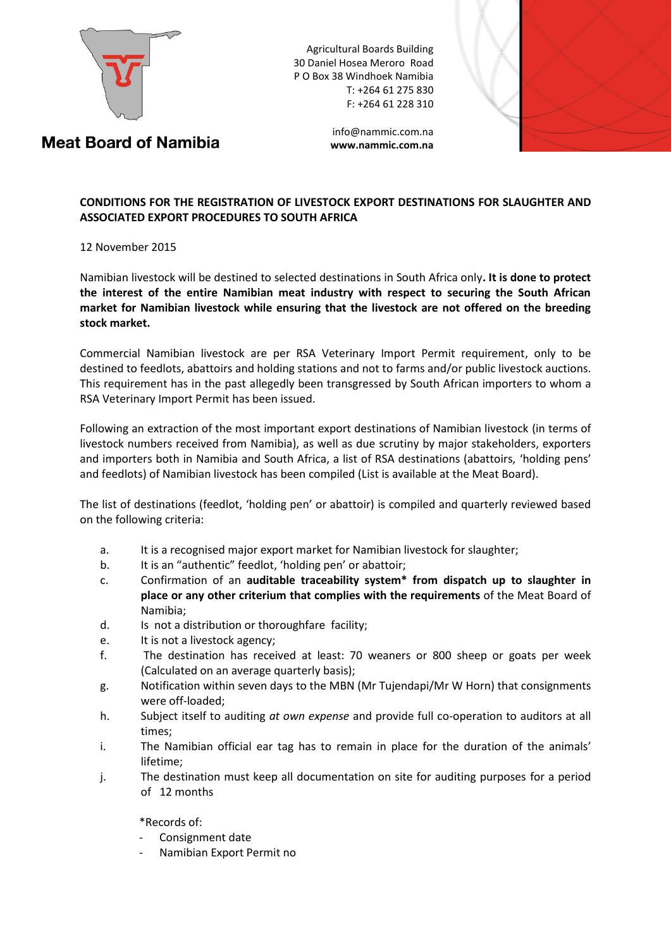

Agricultural Boards Building 30 Daniel Hosea Meroro Road P O Box 38 Windhoek Namibia T: +264 61 275 830 F: +264 61 228 310



## **Meat Board of Namibia**

[info@nammic.com.na](mailto:info@nammic.com.na) **www.nammic.com.na**

## **CONDITIONS FOR THE REGISTRATION OF LIVESTOCK EXPORT DESTINATIONS FOR SLAUGHTER AND ASSOCIATED EXPORT PROCEDURES TO SOUTH AFRICA**

## 12 November 2015

Namibian livestock will be destined to selected destinations in South Africa only**. It is done to protect the interest of the entire Namibian meat industry with respect to securing the South African market for Namibian livestock while ensuring that the livestock are not offered on the breeding stock market.**

Commercial Namibian livestock are per RSA Veterinary Import Permit requirement, only to be destined to feedlots, abattoirs and holding stations and not to farms and/or public livestock auctions. This requirement has in the past allegedly been transgressed by South African importers to whom a RSA Veterinary Import Permit has been issued.

Following an extraction of the most important export destinations of Namibian livestock (in terms of livestock numbers received from Namibia), as well as due scrutiny by major stakeholders, exporters and importers both in Namibia and South Africa, a list of RSA destinations (abattoirs, 'holding pens' and feedlots) of Namibian livestock has been compiled (List is available at the Meat Board).

The list of destinations (feedlot, 'holding pen' or abattoir) is compiled and quarterly reviewed based on the following criteria:

- a. It is a recognised major export market for Namibian livestock for slaughter;
- b. It is an "authentic" feedlot, 'holding pen' or abattoir;
- c. Confirmation of an **auditable traceability system\* from dispatch up to slaughter in place or any other criterium that complies with the requirements** of the Meat Board of Namibia;
- d. Is not a distribution or thoroughfare facility;
- e. It is not a livestock agency;
- f. The destination has received at least: 70 weaners or 800 sheep or goats per week (Calculated on an average quarterly basis);
- g. Notification within seven days to the MBN (Mr Tujendapi/Mr W Horn) that consignments were off-loaded;
- h. Subject itself to auditing *at own expense* and provide full co-operation to auditors at all times;
- i. The Namibian official ear tag has to remain in place for the duration of the animals' lifetime;
- j. The destination must keep all documentation on site for auditing purposes for a period of 12 months

\*Records of:

- Consignment date
- Namibian Export Permit no